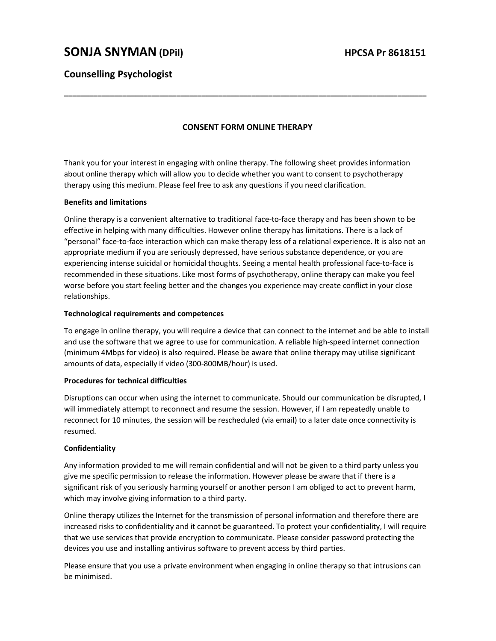# SONJA SNYMAN (DPil) HPCSA Pr 8618151

## Counselling Psychologist

## CONSENT FORM ONLINE THERAPY

\_\_\_\_\_\_\_\_\_\_\_\_\_\_\_\_\_\_\_\_\_\_\_\_\_\_\_\_\_\_\_\_\_\_\_\_\_\_\_\_\_\_\_\_\_\_\_\_\_\_\_\_\_\_\_\_\_\_\_\_\_\_\_\_\_\_\_\_\_\_\_\_\_\_\_\_\_\_\_\_\_\_\_\_\_\_\_

Thank you for your interest in engaging with online therapy. The following sheet provides information about online therapy which will allow you to decide whether you want to consent to psychotherapy therapy using this medium. Please feel free to ask any questions if you need clarification.

### Benefits and limitations

Online therapy is a convenient alternative to traditional face-to-face therapy and has been shown to be effective in helping with many difficulties. However online therapy has limitations. There is a lack of "personal" face-to-face interaction which can make therapy less of a relational experience. It is also not an appropriate medium if you are seriously depressed, have serious substance dependence, or you are experiencing intense suicidal or homicidal thoughts. Seeing a mental health professional face-to-face is recommended in these situations. Like most forms of psychotherapy, online therapy can make you feel worse before you start feeling better and the changes you experience may create conflict in your close relationships.

#### Technological requirements and competences

To engage in online therapy, you will require a device that can connect to the internet and be able to install and use the software that we agree to use for communication. A reliable high-speed internet connection (minimum 4Mbps for video) is also required. Please be aware that online therapy may utilise significant amounts of data, especially if video (300-800MB/hour) is used.

#### Procedures for technical difficulties

Disruptions can occur when using the internet to communicate. Should our communication be disrupted, I will immediately attempt to reconnect and resume the session. However, if I am repeatedly unable to reconnect for 10 minutes, the session will be rescheduled (via email) to a later date once connectivity is resumed.

#### Confidentiality

Any information provided to me will remain confidential and will not be given to a third party unless you give me specific permission to release the information. However please be aware that if there is a significant risk of you seriously harming yourself or another person I am obliged to act to prevent harm, which may involve giving information to a third party.

Online therapy utilizes the Internet for the transmission of personal information and therefore there are increased risks to confidentiality and it cannot be guaranteed. To protect your confidentiality, I will require that we use services that provide encryption to communicate. Please consider password protecting the devices you use and installing antivirus software to prevent access by third parties.

Please ensure that you use a private environment when engaging in online therapy so that intrusions can be minimised.